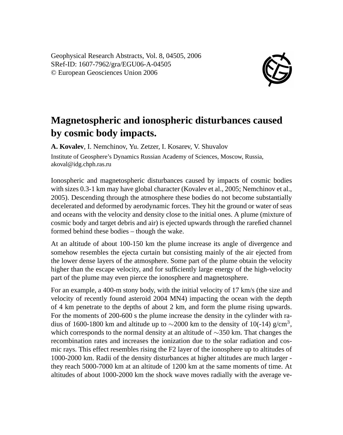Geophysical Research Abstracts, Vol. 8, 04505, 2006 SRef-ID: 1607-7962/gra/EGU06-A-04505 © European Geosciences Union 2006



## **Magnetospheric and ionospheric disturbances caused by cosmic body impacts.**

**A. Kovalev**, I. Nemchinov, Yu. Zetzer, I. Kosarev, V. Shuvalov Institute of Geosphere's Dynamics Russian Academy of Sciences, Moscow, Russia, akoval@idg.chph.ras.ru

Ionospheric and magnetospheric disturbances caused by impacts of cosmic bodies with sizes 0.3-1 km may have global character (Kovalev et al., 2005; Nemchinov et al., 2005). Descending through the atmosphere these bodies do not become substantially decelerated and deformed by aerodynamic forces. They hit the ground or water of seas and oceans with the velocity and density close to the initial ones. A plume (mixture of cosmic body and target debris and air) is ejected upwards through the rarefied channel formed behind these bodies – though the wake.

At an altitude of about 100-150 km the plume increase its angle of divergence and somehow resembles the ejecta curtain but consisting mainly of the air ejected from the lower dense layers of the atmosphere. Some part of the plume obtain the velocity higher than the escape velocity, and for sufficiently large energy of the high-velocity part of the plume may even pierce the ionosphere and magnetosphere.

For an example, a 400-m stony body, with the initial velocity of 17 km/s (the size and velocity of recently found asteroid 2004 MN4) impacting the ocean with the depth of 4 km penetrate to the depths of about 2 km, and form the plume rising upwards. For the moments of 200-600 s the plume increase the density in the cylinder with radius of 1600-1800 km and altitude up to  $\sim$ 2000 km to the density of 10(-14) g/cm<sup>3</sup>, which corresponds to the normal density at an altitude of ∼350 km. That changes the recombination rates and increases the ionization due to the solar radiation and cosmic rays. This effect resembles rising the F2 layer of the ionosphere up to altitudes of 1000-2000 km. Radii of the density disturbances at higher altitudes are much larger they reach 5000-7000 km at an altitude of 1200 km at the same moments of time. At altitudes of about 1000-2000 km the shock wave moves radially with the average ve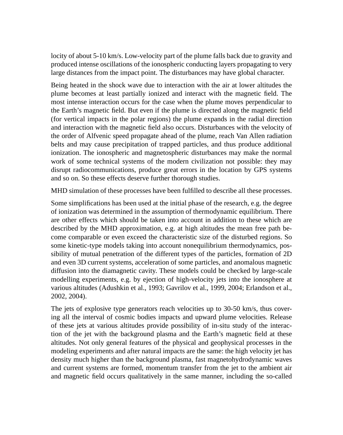locity of about 5-10 km/s. Low-velocity part of the plume falls back due to gravity and produced intense oscillations of the ionospheric conducting layers propagating to very large distances from the impact point. The disturbances may have global character.

Being heated in the shock wave due to interaction with the air at lower altitudes the plume becomes at least partially ionized and interact with the magnetic field. The most intense interaction occurs for the case when the plume moves perpendicular to the Earth's magnetic field. But even if the plume is directed along the magnetic field (for vertical impacts in the polar regions) the plume expands in the radial direction and interaction with the magnetic field also occurs. Disturbances with the velocity of the order of Alfvenic speed propagate ahead of the plume, reach Van Allen radiation belts and may cause precipitation of trapped particles, and thus produce additional ionization. The ionospheric and magnetospheric disturbances may make the normal work of some technical systems of the modern civilization not possible: they may disrupt radiocommunications, produce great errors in the location by GPS systems and so on. So these effects deserve further thorough studies.

MHD simulation of these processes have been fulfilled to describe all these processes.

Some simplifications has been used at the initial phase of the research, e.g. the degree of ionization was determined in the assumption of thermodynamic equilibrium. There are other effects which should be taken into account in addition to these which are described by the MHD approximation, e.g. at high altitudes the mean free path become comparable or even exceed the characteristic size of the disturbed regions. So some kinetic-type models taking into account nonequilibrium thermodynamics, possibility of mutual penetration of the different types of the particles, formation of 2D and even 3D current systems, acceleration of some particles, and anomalous magnetic diffusion into the diamagnetic cavity. These models could be checked by large-scale modelling experiments, e.g. by ejection of high-velocity jets into the ionosphere at various altitudes (Adushkin et al., 1993; Gavrilov et al., 1999, 2004; Erlandson et al., 2002, 2004).

The jets of explosive type generators reach velocities up to 30-50 km/s, thus covering all the interval of cosmic bodies impacts and upward plume velocities. Release of these jets at various altitudes provide possibility of in-situ study of the interaction of the jet with the background plasma and the Earth's magnetic field at these altitudes. Not only general features of the physical and geophysical processes in the modeling experiments and after natural impacts are the same: the high velocity jet has density much higher than the background plasma, fast magnetohydrodynamic waves and current systems are formed, momentum transfer from the jet to the ambient air and magnetic field occurs qualitatively in the same manner, including the so-called